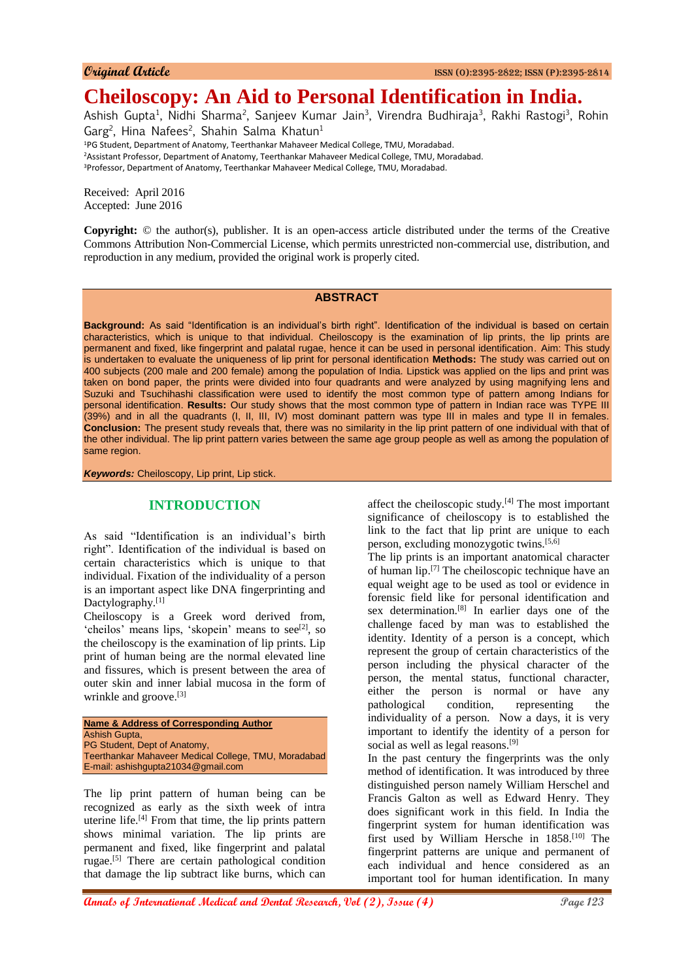# **Cheiloscopy: An Aid to Personal Identification in India.**

Ashish Gupta<sup>1</sup>, Nidhi Sharma<sup>2</sup>, Sanjeev Kumar Jain<sup>3</sup>, Virendra Budhiraja<sup>3</sup>, Rakhi Rastogi<sup>3</sup>, Rohin Garg<sup>2</sup>, Hina Nafees<sup>2</sup>, Shahin Salma Khatun<sup>1</sup>

<sup>1</sup>PG Student, Department of Anatomy, Teerthankar Mahaveer Medical College, TMU, Moradabad.

<sup>2</sup>Assistant Professor, Department of Anatomy, Teerthankar Mahaveer Medical College, TMU, Moradabad.

<sup>3</sup>Professor, Department of Anatomy, Teerthankar Mahaveer Medical College, TMU, Moradabad.

Received: April 2016 Accepted: June 2016

**Copyright:** © the author(s), publisher. It is an open-access article distributed under the terms of the Creative Commons Attribution Non-Commercial License, which permits unrestricted non-commercial use, distribution, and reproduction in any medium, provided the original work is properly cited.

#### **ABSTRACT**

**Background:** As said "Identification is an individual's birth right". Identification of the individual is based on certain characteristics, which is unique to that individual. Cheiloscopy is the examination of lip prints, the lip prints are permanent and fixed, like fingerprint and palatal rugae, hence it can be used in personal identification. Aim: This study is undertaken to evaluate the uniqueness of lip print for personal identification **Methods:** The study was carried out on 400 subjects (200 male and 200 female) among the population of India. Lipstick was applied on the lips and print was taken on bond paper, the prints were divided into four quadrants and were analyzed by using magnifying lens and Suzuki and Tsuchihashi classification were used to identify the most common type of pattern among Indians for personal identification. **Results:** Our study shows that the most common type of pattern in Indian race was TYPE III  $(39%)$  and in all the quadrants  $(I, II, III, IV)$  most dominant pattern was type III in males and type II in females. **Conclusion:** The present study reveals that, there was no similarity in the lip print pattern of one individual with that of the other individual. The lip print pattern varies between the same age group people as well as among the population of same region.

*Keywords:* Cheiloscopy, Lip print, Lip stick.

## **INTRODUCTION**

As said "Identification is an individual's birth right". Identification of the individual is based on certain characteristics which is unique to that individual. Fixation of the individuality of a person is an important aspect like DNA fingerprinting and Dactylography.<sup>[1]</sup>

Cheiloscopy is a Greek word derived from, 'cheilos' means lips, 'skopein' means to see<sup>[2]</sup>, so the cheiloscopy is the examination of lip prints. Lip print of human being are the normal elevated line and fissures, which is present between the area of outer skin and inner labial mucosa in the form of wrinkle and groove.<sup>[3]</sup>

**Name & Address of Corresponding Author** Ashish Gupta, PG Student, Dept of Anatomy, Teerthankar Mahaveer Medical College, TMU, Moradabad E-mail: ashishgupta21034@gmail.com

The lip print pattern of human being can be recognized as early as the sixth week of intra uterine life.[4] From that time, the lip prints pattern shows minimal variation. The lip prints are permanent and fixed, like fingerprint and palatal rugae.[5] There are certain pathological condition that damage the lip subtract like burns, which can affect the cheiloscopic study. $[4]$  The most important significance of cheiloscopy is to established the link to the fact that lip print are unique to each person, excluding monozygotic twins.<sup>[5,6]</sup>

The lip prints is an important anatomical character of human lip.<sup>[7]</sup> The cheiloscopic technique have an equal weight age to be used as tool or evidence in forensic field like for personal identification and sex determination.[8] In earlier days one of the challenge faced by man was to established the identity. Identity of a person is a concept, which represent the group of certain characteristics of the person including the physical character of the person, the mental status, functional character, either the person is normal or have any pathological condition, representing the individuality of a person. Now a days, it is very important to identify the identity of a person for social as well as legal reasons.<sup>[9]</sup>

In the past century the fingerprints was the only method of identification. It was introduced by three distinguished person namely William Herschel and Francis Galton as well as Edward Henry. They does significant work in this field. In India the fingerprint system for human identification was first used by William Hersche in 1858.<sup>[10]</sup> The fingerprint patterns are unique and permanent of each individual and hence considered as an important tool for human identification. In many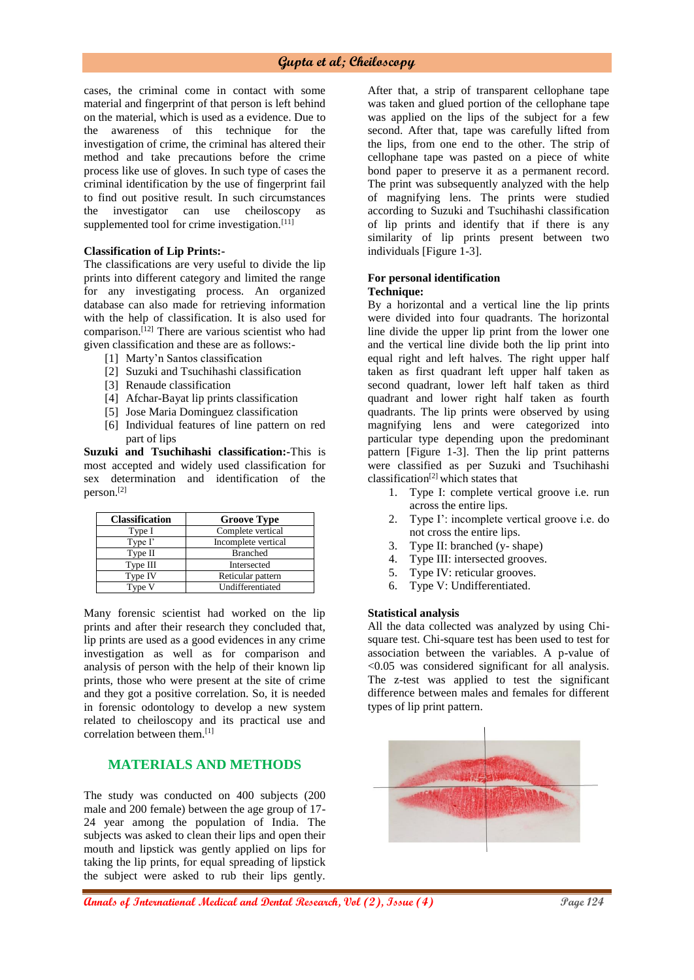cases, the criminal come in contact with some material and fingerprint of that person is left behind on the material, which is used as a evidence. Due to the awareness of this technique for the investigation of crime, the criminal has altered their method and take precautions before the crime process like use of gloves. In such type of cases the criminal identification by the use of fingerprint fail to find out positive result. In such circumstances the investigator can use cheiloscopy as supplemented tool for crime investigation.<sup>[11]</sup>

#### **Classification of Lip Prints:-**

The classifications are very useful to divide the lip prints into different category and limited the range for any investigating process. An organized database can also made for retrieving information with the help of classification. It is also used for comparison.[12] There are various scientist who had given classification and these are as follows:-

- [1] Marty'n Santos classification
- [2] Suzuki and Tsuchihashi classification
- [3] Renaude classification
- [4] Afchar-Bayat lip prints classification
- [5] Jose Maria Dominguez classification
- [6] Individual features of line pattern on red part of lips

**Suzuki and Tsuchihashi classification:-**This is most accepted and widely used classification for sex determination and identification of the person.[2]

| <b>Classification</b> | <b>Groove Type</b>  |
|-----------------------|---------------------|
| Type I                | Complete vertical   |
| Type I'               | Incomplete vertical |
| Type II               | <b>Branched</b>     |
| Type III              | Intersected         |
| Type IV               | Reticular pattern   |
| Type V                | Undifferentiated    |

Many forensic scientist had worked on the lip prints and after their research they concluded that, lip prints are used as a good evidences in any crime investigation as well as for comparison and analysis of person with the help of their known lip prints, those who were present at the site of crime and they got a positive correlation. So, it is needed in forensic odontology to develop a new system related to cheiloscopy and its practical use and correlation between them.[1]

## **MATERIALS AND METHODS**

The study was conducted on 400 subjects (200 male and 200 female) between the age group of 17- 24 year among the population of India. The subjects was asked to clean their lips and open their mouth and lipstick was gently applied on lips for taking the lip prints, for equal spreading of lipstick the subject were asked to rub their lips gently.

After that, a strip of transparent cellophane tape was taken and glued portion of the cellophane tape was applied on the lips of the subject for a few second. After that, tape was carefully lifted from the lips, from one end to the other. The strip of cellophane tape was pasted on a piece of white bond paper to preserve it as a permanent record. The print was subsequently analyzed with the help of magnifying lens. The prints were studied according to Suzuki and Tsuchihashi classification of lip prints and identify that if there is any similarity of lip prints present between two individuals [Figure 1-3].

## **For personal identification**

## **Technique:**

By a horizontal and a vertical line the lip prints were divided into four quadrants. The horizontal line divide the upper lip print from the lower one and the vertical line divide both the lip print into equal right and left halves. The right upper half taken as first quadrant left upper half taken as second quadrant, lower left half taken as third quadrant and lower right half taken as fourth quadrants. The lip prints were observed by using magnifying lens and were categorized into particular type depending upon the predominant pattern [Figure 1-3]. Then the lip print patterns were classified as per Suzuki and Tsuchihashi  $classification<sup>[2]</sup> which states that$ 

- 1. Type I: complete vertical groove i.e. run across the entire lips.
- 2. Type I': incomplete vertical groove i.e. do not cross the entire lips.
- 3. Type II: branched (y- shape)
- 4. Type III: intersected grooves.
- 5. Type IV: reticular grooves.
- 6. Type V: Undifferentiated.

#### **Statistical analysis**

All the data collected was analyzed by using Chisquare test. Chi-square test has been used to test for association between the variables. A p-value of <0.05 was considered significant for all analysis. The z-test was applied to test the significant difference between males and females for different types of lip print pattern.

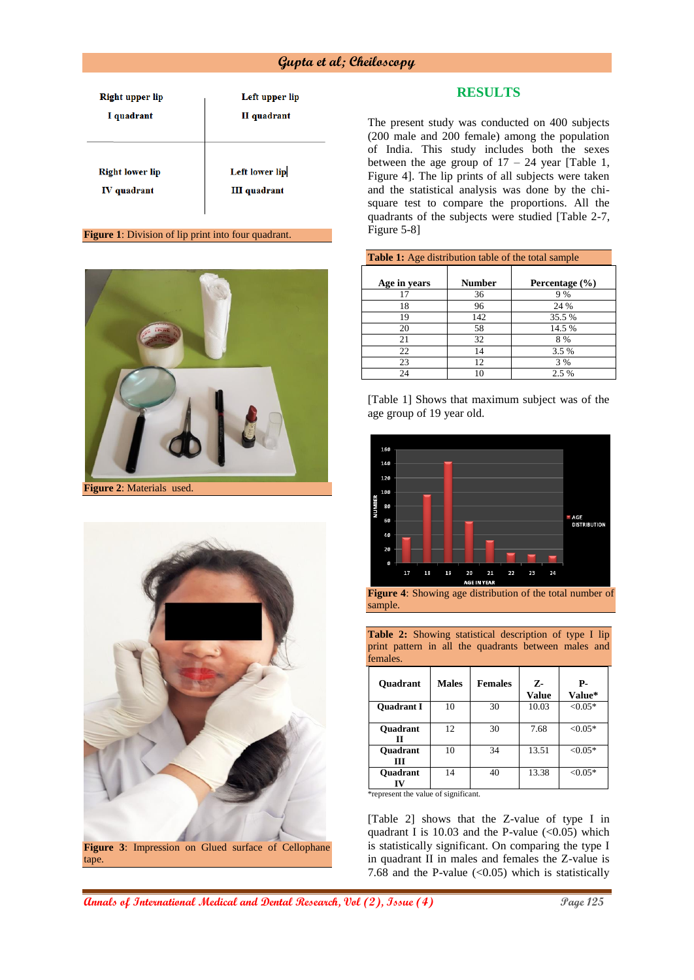| <b>Right upper lip</b><br>I quadrant | Left upper lip<br>II quadrant |
|--------------------------------------|-------------------------------|
|                                      |                               |
| <b>Right lower lip</b>               | <b>Left lower lip</b>         |
| IV quadrant                          | <b>III</b> quadrant           |

#### **Figure 1**: Division of lip print into four quadrant.



**Figure 2**: Materials used.



## **RESULTS**

The present study was conducted on 400 subjects (200 male and 200 female) among the population of India. This study includes both the sexes between the age group of  $17 - 24$  year [Table 1, Figure 4]. The lip prints of all subjects were taken and the statistical analysis was done by the chisquare test to compare the proportions. All the quadrants of the subjects were studied [Table 2-7, Figure 5-8]

| <b>Table 1:</b> Age distribution table of the total sample |        |                |  |  |  |
|------------------------------------------------------------|--------|----------------|--|--|--|
| Age in years                                               | Number | Percentage (%) |  |  |  |
| 17                                                         | 36     | 9%             |  |  |  |
| 18                                                         | 96     | 24 %           |  |  |  |
| 19                                                         | 142    | 35.5 %         |  |  |  |
| 20                                                         | 58     | 14.5 %         |  |  |  |
| 21                                                         | 32     | 8%             |  |  |  |
| 22                                                         | 14     | 3.5 %          |  |  |  |
| 23                                                         | 12     | 3 %            |  |  |  |
| 24                                                         | 10     | 2.5 %          |  |  |  |

[Table 1] Shows that maximum subject was of the age group of 19 year old.



**Figure 4**: Showing age distribution of the total number of sample.

Table 2: Showing statistical description of type I lip print pattern in all the quadrants between males and females.

| Quadrant             | <b>Males</b> | <b>Females</b> | Z-<br><b>Value</b> | Р-<br>Value* |
|----------------------|--------------|----------------|--------------------|--------------|
| <b>Ouadrant I</b>    | 10           | 30             | 10.03              | $< 0.05*$    |
| Quadrant<br>π        | 12           | 30             | 7.68               | $< 0.05*$    |
| <b>Ouadrant</b><br>ш | 10           | 34             | 13.51              | $< 0.05*$    |
| <b>Ouadrant</b>      | 14           | 40             | 13.38              | $< 0.05*$    |

\*represent the value of significant.

[Table 2] shows that the Z-value of type I in quadrant I is  $10.03$  and the P-value  $(<0.05)$  which is statistically significant. On comparing the type I in quadrant II in males and females the Z-value is 7.68 and the P-value  $( $0.05$ ) which is statistically$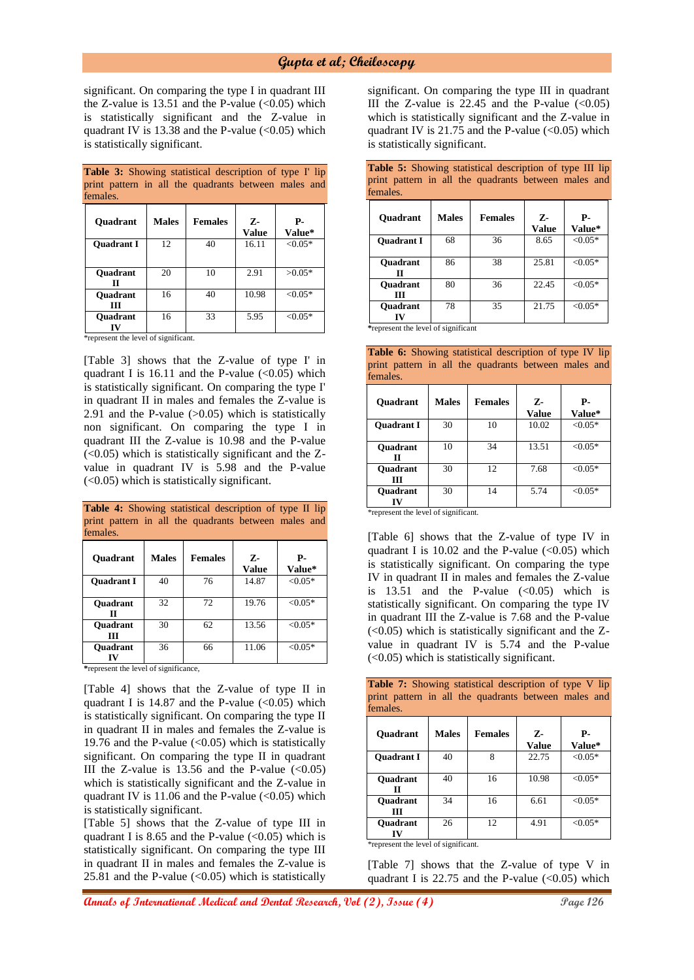significant. On comparing the type I in quadrant III the Z-value is  $13.51$  and the P-value  $(<0.05)$  which is statistically significant and the Z-value in quadrant IV is  $13.38$  and the P-value (<0.05) which is statistically significant.

**Table 3:** Showing statistical description of type I' lip

| print pattern in all the quadrants between males and<br>females. |              |                |                    |              |  |
|------------------------------------------------------------------|--------------|----------------|--------------------|--------------|--|
| <b>Ouadrant</b>                                                  | <b>Males</b> | <b>Females</b> | 7.<br><b>Value</b> | Р-<br>Value* |  |
| <b>Ouadrant I</b>                                                | 12           | 40             | 16.11              | $< 0.05*$    |  |
| <b>Ouadrant</b><br>п                                             | 20           | 10             | 2.91               | $>0.05*$     |  |
| <b>Ouadrant</b><br>Ш                                             | 16           | 40             | 10.98              | $< 0.05*$    |  |
| <b>Ouadrant</b>                                                  | 16           | 33             | 5.95               | $< 0.05*$    |  |

\*represent the level of significant.

[Table 3] shows that the Z-value of type I' in quadrant I is  $16.11$  and the P-value  $(<0.05)$  which is statistically significant. On comparing the type I' in quadrant II in males and females the Z-value is 2.91 and the P-value  $(>0.05)$  which is statistically non significant. On comparing the type I in quadrant III the Z-value is 10.98 and the P-value  $(<0.05$ ) which is statistically significant and the Zvalue in quadrant IV is 5.98 and the P-value (<0.05) which is statistically significant.

| print pattern in all the quadrants between males and<br>females. |              |                |                       |              |  |
|------------------------------------------------------------------|--------------|----------------|-----------------------|--------------|--|
| Quadrant                                                         | <b>Males</b> | <b>Females</b> | $Z -$<br><b>Value</b> | Р.<br>Value* |  |
| <b>Ouadrant I</b>                                                | 40           | 76             | 14.87                 | $< 0.05*$    |  |
| <b>Ouadrant</b><br>п                                             | 32           | 72             | 19.76                 | $< 0.05*$    |  |
| Quadrant<br>ш                                                    | 30           | 62             | 13.56                 | $< 0.05*$    |  |
| <b>Ouadrant</b>                                                  | 36           | 66             | 11.06                 | $< 0.05*$    |  |

**Table 4:** Showing statistical description of type II lip

**\***represent the level of significance,

[Table 4] shows that the Z-value of type II in quadrant I is  $14.87$  and the P-value (<0.05) which is statistically significant. On comparing the type II in quadrant II in males and females the Z-value is 19.76 and the P-value  $(<0.05)$  which is statistically significant. On comparing the type II in quadrant III the Z-value is 13.56 and the P-value  $\langle 0.05 \rangle$ which is statistically significant and the Z-value in quadrant IV is 11.06 and the P-value  $(<0.05)$  which is statistically significant.

[Table 5] shows that the Z-value of type III in quadrant I is 8.65 and the P-value  $(<0.05)$  which is statistically significant. On comparing the type III in quadrant II in males and females the Z-value is 25.81 and the P-value  $(<0.05)$  which is statistically

significant. On comparing the type III in quadrant III the Z-value is  $22.45$  and the P-value  $\langle \langle 0.05 \rangle$ which is statistically significant and the Z-value in quadrant IV is  $21.75$  and the P-value (<0.05) which is statistically significant.

|          |  | <b>Table 5:</b> Showing statistical description of type III lip |  |  |
|----------|--|-----------------------------------------------------------------|--|--|
|          |  | print pattern in all the quadrants between males and            |  |  |
| females. |  |                                                                 |  |  |

| <b>Ouadrant</b>             | <b>Males</b>                               | <b>Females</b> | z.<br><b>Value</b> | Р-<br>Value* |
|-----------------------------|--------------------------------------------|----------------|--------------------|--------------|
| <b>Ouadrant I</b>           | 68                                         | 36             | 8.65               | $< 0.05*$    |
| Quadrant<br>П               | 86                                         | 38             | 25.81              | $< 0.05*$    |
| <b>Ouadrant</b><br>ш        | 80                                         | 36             | 22.45              | $< 0.05*$    |
| <b>Ouadrant</b><br>īV<br>a. | 78<br>$\ddotsc$<br>$\sim$<br>$\sim$ $\sim$ | 35             | 21.75              | $< 0.05*$    |

**\***represent the level of significant

**Table 6:** Showing statistical description of type IV lip print pattern in all the quadrants between males and females.

| <b>Ouadrant</b>      | <b>Males</b> | <b>Females</b> | Z-<br><b>Value</b> | Р-<br>Value* |
|----------------------|--------------|----------------|--------------------|--------------|
| <b>Ouadrant I</b>    | 30           | 10             | 10.02              | $< 0.05*$    |
| <b>Ouadrant</b><br>п | 10           | 34             | 13.51              | $< 0.05*$    |
| <b>Ouadrant</b><br>Ш | 30           | 12             | 7.68               | $< 0.05*$    |
| <b>Ouadrant</b>      | 30           | 14             | 5.74               | $< 0.05*$    |

\*represent the level of significant.

[Table 6] shows that the Z-value of type IV in quadrant I is  $10.02$  and the P-value  $\langle 0.05 \rangle$  which is statistically significant. On comparing the type IV in quadrant II in males and females the Z-value is  $13.51$  and the P-value  $( $0.05$ )$  which is statistically significant. On comparing the type IV in quadrant III the Z-value is 7.68 and the P-value  $(<0.05$ ) which is statistically significant and the Zvalue in quadrant IV is 5.74 and the P-value (<0.05) which is statistically significant.

**Table 7:** Showing statistical description of type V lip print pattern in all the quadrants between males and females.

| <b>Ouadrant</b>      | <b>Males</b> | <b>Females</b> | Z-<br><b>Value</b> | Р.<br>Value* |
|----------------------|--------------|----------------|--------------------|--------------|
| <b>Ouadrant I</b>    | 40           | 8              | 22.75              | $< 0.05*$    |
| <b>Ouadrant</b><br>П | 40           | 16             | 10.98              | $< 0.05*$    |
| <b>Ouadrant</b><br>ш | 34           | 16             | 6.61               | $< 0.05*$    |
| <b>Ouadrant</b>      | 26           | 12             | 4.91               | ${<}0.05*$   |

\*represent the level of significant.

[Table 7] shows that the Z-value of type V in quadrant I is  $22.75$  and the P-value  $( $0.05$ )$  which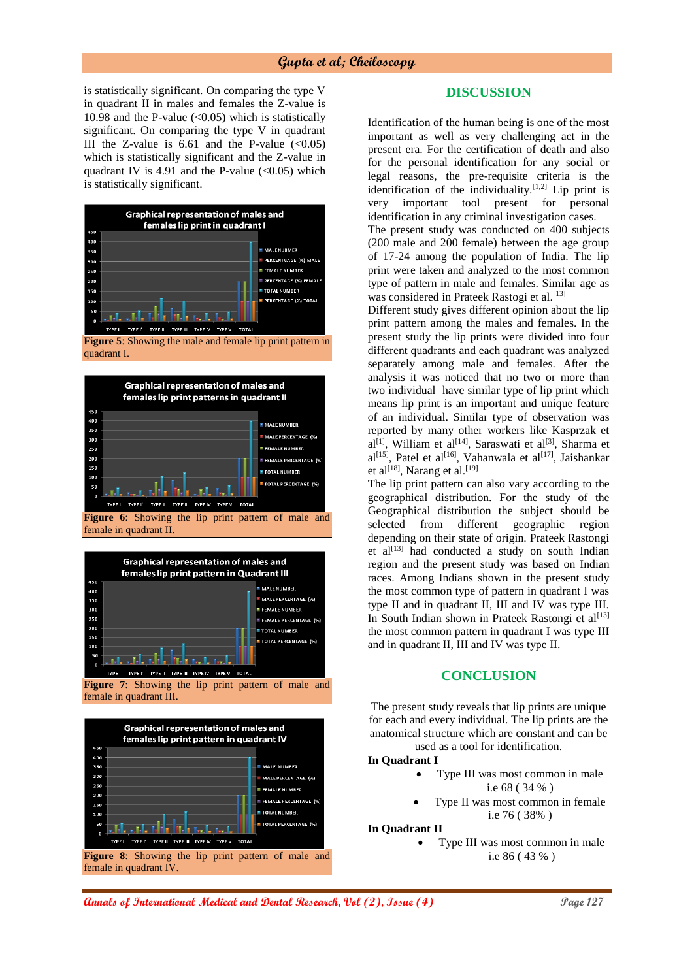is statistically significant. On comparing the type V in quadrant II in males and females the Z-value is 10.98 and the P-value  $(<0.05)$  which is statistically significant. On comparing the type V in quadrant III the Z-value is  $6.61$  and the P-value  $( $0.05$ )$ which is statistically significant and the Z-value in quadrant IV is 4.91 and the P-value  $(<0.05)$  which is statistically significant.



**Figure 5**: Showing the male and female lip print pattern in quadrant I.





**Figure 7**: Showing the lip print pattern of male and female in quadrant III.



## **DISCUSSION**

Identification of the human being is one of the most important as well as very challenging act in the present era. For the certification of death and also for the personal identification for any social or legal reasons, the pre-requisite criteria is the identification of the individuality.<sup>[1,2]</sup> Lip print is very important tool present for personal very important tool identification in any criminal investigation cases.

The present study was conducted on 400 subjects (200 male and 200 female) between the age group of 17-24 among the population of India. The lip print were taken and analyzed to the most common type of pattern in male and females. Similar age as was considered in Prateek Rastogi et al.<sup>[13]</sup>

Different study gives different opinion about the lip print pattern among the males and females. In the present study the lip prints were divided into four different quadrants and each quadrant was analyzed separately among male and females. After the analysis it was noticed that no two or more than two individual have similar type of lip print which means lip print is an important and unique feature of an individual. Similar type of observation was reported by many other workers like Kasprzak et  $al^{[1]}$ , William et al<sup>[14]</sup>, Saraswati et al<sup>[3]</sup>, Sharma et  $al^{[15]}$ , Patel et al<sup>[16]</sup>, Vahanwala et al<sup>[17]</sup>, Jaishankar et al<sup>[18]</sup>, Narang et al.<sup>[19]</sup>

The lip print pattern can also vary according to the geographical distribution. For the study of the Geographical distribution the subject should be selected from different geographic region depending on their state of origin. Prateek Rastongi et al<sup>[13]</sup> had conducted a study on south Indian region and the present study was based on Indian races. Among Indians shown in the present study the most common type of pattern in quadrant I was type II and in quadrant II, III and IV was type III. In South Indian shown in Prateek Rastongi et al<sup>[13]</sup> the most common pattern in quadrant I was type III and in quadrant II, III and IV was type II.

### **CONCLUSION**

The present study reveals that lip prints are unique for each and every individual. The lip prints are the anatomical structure which are constant and can be used as a tool for identification.

#### **In Quadrant I**

- Type III was most common in male i.e 68 ( 34 % )
- Type II was most common in female i.e 76 ( 38% )

#### **In Quadrant II**

 Type III was most common in male i.e 86 ( 43 % )